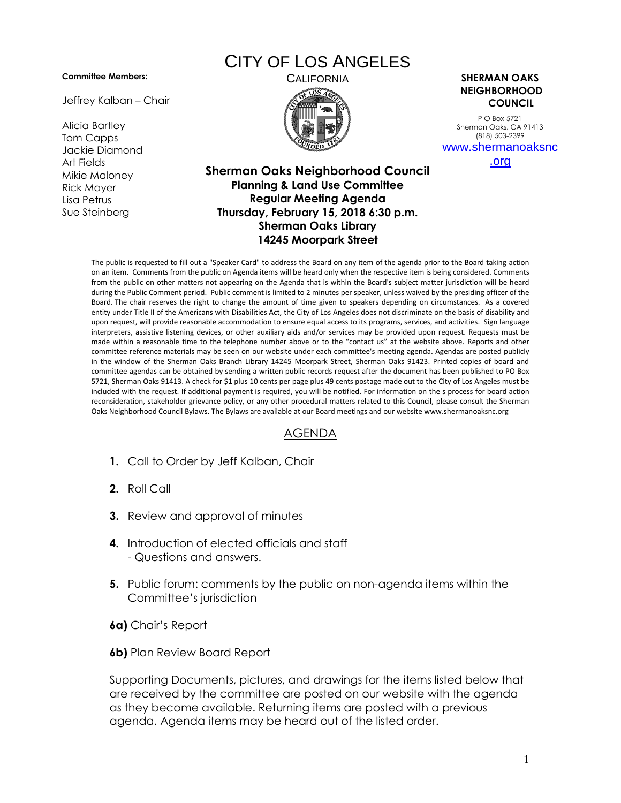## **Committee Members:**

Jeffrey Kalban – Chair

Alicia Bartley Tom Capps Jackie Diamond Art Fields Mikie Maloney Rick Mayer Lisa Petrus Sue Steinberg

## CITY OF LOS ANGELES



CALIFORNIA **SHERMAN OAKS NEIGHBORHOOD COUNCIL**

> P O Box 5721 Sherman Oaks, CA 91413 (818) 503-2399 [www.shermanoaksnc](http://www.shermanoaksnc.org/)

> > [.org](http://www.shermanoaksnc.org/)

## **Sherman Oaks Neighborhood Council Planning & Land Use Committee Regular Meeting Agenda Thursday, February 15, 2018 6:30 p.m. Sherman Oaks Library 14245 Moorpark Street**

The public is requested to fill out a "Speaker Card" to address the Board on any item of the agenda prior to the Board taking action on an item. Comments from the public on Agenda items will be heard only when the respective item is being considered. Comments from the public on other matters not appearing on the Agenda that is within the Board's subject matter jurisdiction will be heard during the Public Comment period. Public comment is limited to 2 minutes per speaker, unless waived by the presiding officer of the Board. The chair reserves the right to change the amount of time given to speakers depending on circumstances. As a covered entity under Title II of the Americans with Disabilities Act, the City of Los Angeles does not discriminate on the basis of disability and upon request, will provide reasonable accommodation to ensure equal access to its programs, services, and activities. Sign language interpreters, assistive listening devices, or other auxiliary aids and/or services may be provided upon request. Requests must be made within a reasonable time to the telephone number above or to the "contact us" at the website above. Reports and other committee reference materials may be seen on our website under each committee's meeting agenda. Agendas are posted publicly in the window of the Sherman Oaks Branch Library 14245 Moorpark Street, Sherman Oaks 91423. Printed copies of board and committee agendas can be obtained by sending a written public records request after the document has been published to PO Box 5721, Sherman Oaks 91413. A check for \$1 plus 10 cents per page plus 49 cents postage made out to the City of Los Angeles must be included with the request. If additional payment is required, you will be notified. For information on the s process for board action reconsideration, stakeholder grievance policy, or any other procedural matters related to this Council, please consult the Sherman Oaks Neighborhood Council Bylaws. The Bylaws are available at our Board meetings and our website www.shermanoaksnc.org

## AGENDA

- **1.** Call to Order by Jeff Kalban, Chair
- **2.** Roll Call
- **3.** Review and approval of minutes
- **4.** Introduction of elected officials and staff - Questions and answers.
- **5.** Public forum: comments by the public on non-agenda items within the Committee's jurisdiction
- **6a)** Chair's Report
- **6b)** Plan Review Board Report

Supporting Documents, pictures, and drawings for the items listed below that are received by the committee are posted on our website with the agenda as they become available. Returning items are posted with a previous agenda. Agenda items may be heard out of the listed order.